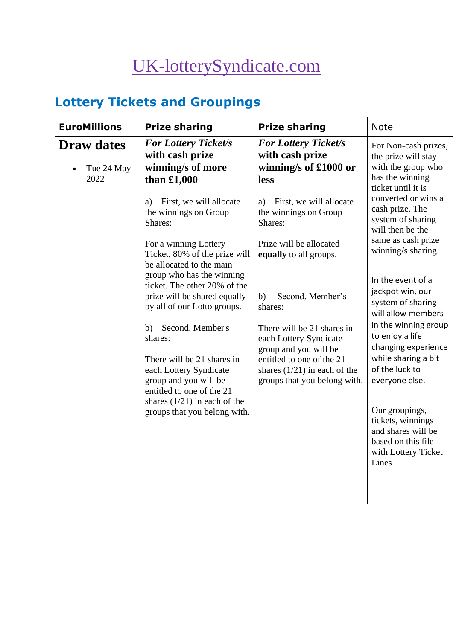# [UK-lotterySyndicate.com](http://www.uk-lotterysyndicate.com/)

# **Lottery Tickets and Groupings**

| <b>EuroMillions</b>                     | <b>Prize sharing</b>                                                                                            | <b>Prize sharing</b>                                                                        | <b>Note</b>                                                                                                                                                                                                                               |
|-----------------------------------------|-----------------------------------------------------------------------------------------------------------------|---------------------------------------------------------------------------------------------|-------------------------------------------------------------------------------------------------------------------------------------------------------------------------------------------------------------------------------------------|
| <b>Draw dates</b><br>Tue 24 May<br>2022 | <b>For Lottery Ticket/s</b><br>with cash prize<br>winning/s of more<br>than $£1,000$                            | <b>For Lottery Ticket/s</b><br>with cash prize<br>winning/s of £1000 or<br>less             | For Non-cash prizes,<br>the prize will stay<br>with the group who<br>has the winning<br>ticket until it is<br>converted or wins a<br>cash prize. The<br>system of sharing<br>will then be the<br>same as cash prize<br>winning/s sharing. |
|                                         | First, we will allocate<br>a)<br>the winnings on Group<br>Shares:                                               | First, we will allocate<br>a)<br>the winnings on Group<br>Shares:                           |                                                                                                                                                                                                                                           |
|                                         | For a winning Lottery<br>Ticket, 80% of the prize will<br>be allocated to the main<br>group who has the winning | Prize will be allocated<br>equally to all groups.                                           |                                                                                                                                                                                                                                           |
|                                         | ticket. The other 20% of the<br>prize will be shared equally<br>by all of our Lotto groups.                     | Second, Member's<br>b)<br>shares:                                                           | In the event of a<br>jackpot win, our<br>system of sharing<br>will allow members                                                                                                                                                          |
|                                         | Second, Member's<br>b)<br>shares:                                                                               | There will be 21 shares in<br>each Lottery Syndicate<br>group and you will be               | in the winning group<br>to enjoy a life<br>changing experience                                                                                                                                                                            |
|                                         | There will be 21 shares in<br>each Lottery Syndicate<br>group and you will be<br>entitled to one of the 21      | entitled to one of the 21<br>shares $(1/21)$ in each of the<br>groups that you belong with. | while sharing a bit<br>of the luck to<br>everyone else.                                                                                                                                                                                   |
|                                         | shares $(1/21)$ in each of the<br>groups that you belong with.                                                  |                                                                                             | Our groupings,<br>tickets, winnings<br>and shares will be<br>based on this file<br>with Lottery Ticket<br>Lines                                                                                                                           |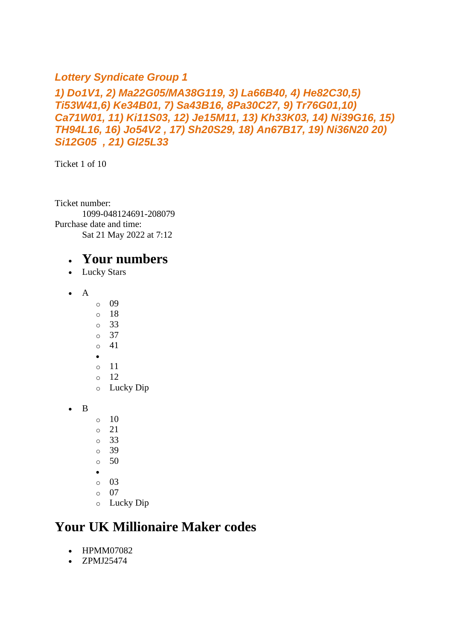#### *Lottery Syndicate Group 1*

#### *1) Do1V1, 2) Ma22G05/MA38G119, 3) La66B40, 4) He82C30,5) Ti53W41,6) Ke34B01, 7) Sa43B16, 8Pa30C27, 9) Tr76G01,10) Ca71W01, 11) Ki11S03, 12) Je15M11, 13) Kh33K03, 14) Ni39G16, 15) TH94L16, 16) Jo54V2 , 17) Sh20S29, 18) An67B17, 19) Ni36N20 20) Si12G05 , 21) Gl25L33*

Ticket 1 of 10

Ticket number: 1099-048124691-208079 Purchase date and time: Sat 21 May 2022 at 7:12

#### • **Your numbers**

- Lucky Stars
- $\bullet$  A
- o 09
- o 18
- o 33
- o 37
- o 41
- •
- o 11  $\circ$  12
- o Lucky Dip
- B
- $\circ$  10
- o 21
- o 33
- o 39
- o 50
- •
- o 03
- o 07
- o Lucky Dip

## **Your UK Millionaire Maker codes**

- HPMM07082
- ZPMJ25474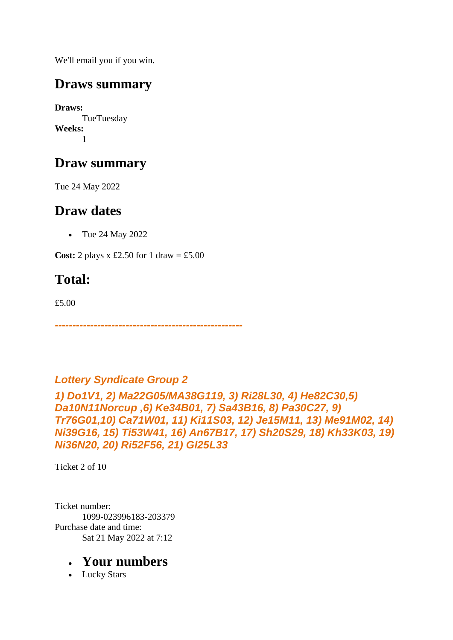We'll email you if you win.

## **Draws summary**

**Draws:** TueTuesday **Weeks:** 1

## **Draw summary**

Tue 24 May 2022

## **Draw dates**

• Tue 24 May 2022

**Cost:** 2 plays x £2.50 for 1 draw = £5.00

# **Total:**

£5.00

*-----------------------------------------------------*

#### *Lottery Syndicate Group 2*

*1) Do1V1, 2) Ma22G05/MA38G119, 3) Ri28L30, 4) He82C30,5) Da10N11Norcup ,6) Ke34B01, 7) Sa43B16, 8) Pa30C27, 9) Tr76G01,10) Ca71W01, 11) Ki11S03, 12) Je15M11, 13) Me91M02, 14) Ni39G16, 15) Ti53W41, 16) An67B17, 17) Sh20S29, 18) Kh33K03, 19) Ni36N20, 20) Ri52F56, 21) Gl25L33*

Ticket 2 of 10

Ticket number: 1099-023996183-203379 Purchase date and time: Sat 21 May 2022 at 7:12

#### • **Your numbers**

• Lucky Stars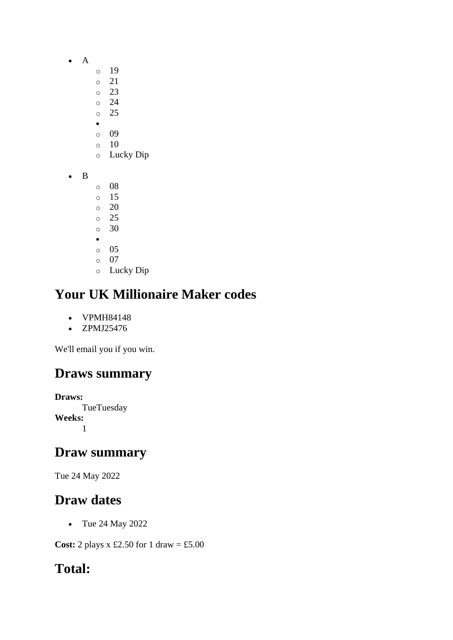- A
- o 19
- o 21
- o 23
- o 24 o 25
- •
- o 09
- o 10
- o Lucky Dip
- B
- o 08
- o 15 o 20
- o 25
- o 30
- •
- o 05
- o 07 o Lucky Dip

- VPMH84148
- ZPMJ25476

We'll email you if you win.

# **Draws summary**

**Draws: TueTuesday Weeks:** 1

# **Draw summary**

Tue 24 May 2022

# **Draw dates**

• Tue 24 May 2022

**Cost:** 2 plays x £2.50 for 1 draw = £5.00

# **Total:**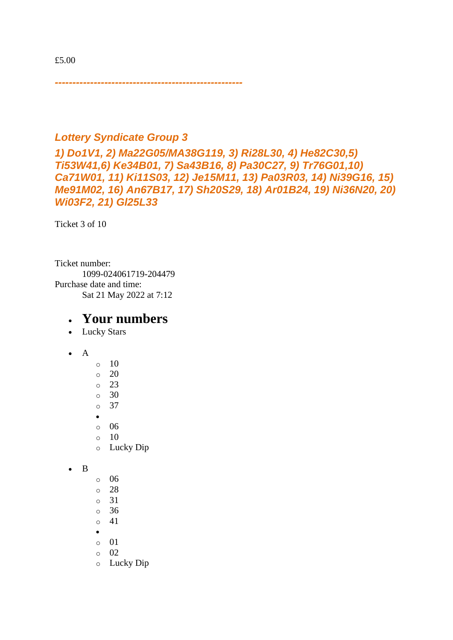*-----------------------------------------------------*

#### *Lottery Syndicate Group 3*

*1) Do1V1, 2) Ma22G05/MA38G119, 3) Ri28L30, 4) He82C30,5) Ti53W41,6) Ke34B01, 7) Sa43B16, 8) Pa30C27, 9) Tr76G01,10) Ca71W01, 11) Ki11S03, 12) Je15M11, 13) Pa03R03, 14) Ni39G16, 15) Me91M02, 16) An67B17, 17) Sh20S29, 18) Ar01B24, 19) Ni36N20, 20) Wi03F2, 21) Gl25L33*

Ticket 3 of 10

Ticket number: 1099-024061719-204479 Purchase date and time: Sat 21 May 2022 at 7:12

#### • **Your numbers**

- Lucky Stars
- A
- $\circ$  10  $\circ$  20 o 23  $\circ$  30 o 37 • o 06  $\circ$  10 o Lucky Dip

• B

- o 06
- o 28
- o 31
- o 36
- o 41
- •
- $\circ$  01 o 02
- o Lucky Dip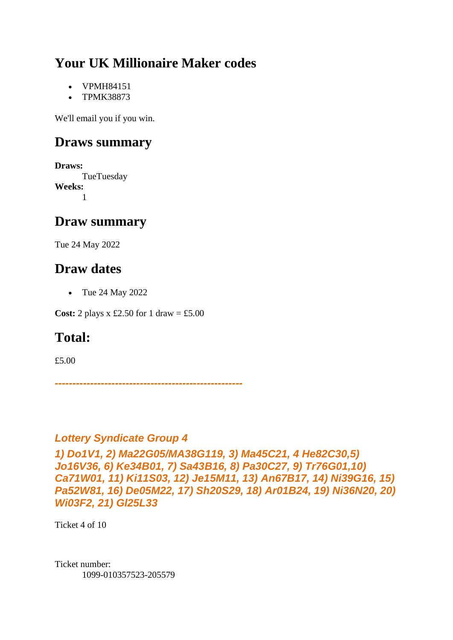- VPMH84151
- TPMK38873

We'll email you if you win.

## **Draws summary**

**Draws:** TueTuesday **Weeks:** 1

## **Draw summary**

Tue 24 May 2022

## **Draw dates**

• Tue 24 May 2022

**Cost:** 2 plays x £2.50 for 1 draw = £5.00

## **Total:**

£5.00

*-----------------------------------------------------*

#### *Lottery Syndicate Group 4*

*1) Do1V1, 2) Ma22G05/MA38G119, 3) Ma45C21, 4 He82C30,5) Jo16V36, 6) Ke34B01, 7) Sa43B16, 8) Pa30C27, 9) Tr76G01,10) Ca71W01, 11) Ki11S03, 12) Je15M11, 13) An67B17, 14) Ni39G16, 15) Pa52W81, 16) De05M22, 17) Sh20S29, 18) Ar01B24, 19) Ni36N20, 20) Wi03F2, 21) Gl25L33*

Ticket 4 of 10

Ticket number: 1099-010357523-205579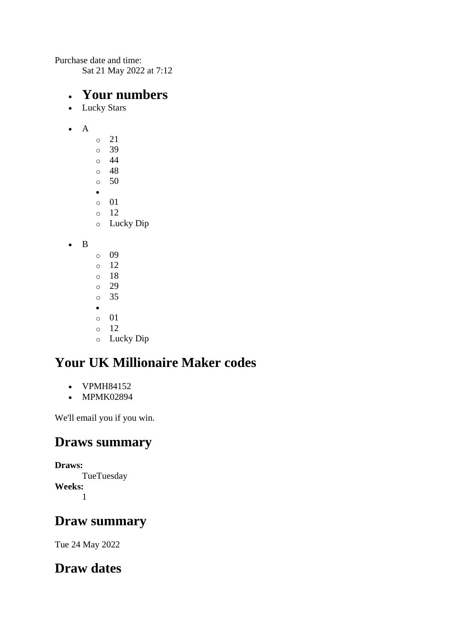Purchase date and time: Sat 21 May 2022 at 7:12

#### • **Your numbers**

- Lucky Stars
- A
- o 21 o 39  $\circ$  44 o 48  $\circ$  50 • o 01  $\circ$  12 o Lucky Dip

• B

o 09 o 12 o 18 o 29 o 35 • o 01 o 12 o Lucky Dip

# **Your UK Millionaire Maker codes**

- VPMH84152
- MPMK02894

We'll email you if you win.

## **Draws summary**

**Draws: TueTuesday Weeks:** 1

## **Draw summary**

Tue 24 May 2022

## **Draw dates**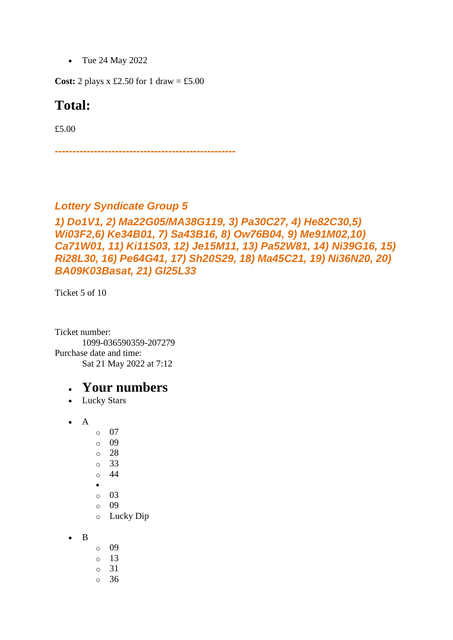• Tue 24 May 2022

**Cost:** 2 plays x £2.50 for 1 draw = £5.00

#### **Total:**

£5.00

*---------------------------------------------------*

#### *Lottery Syndicate Group 5*

#### *1) Do1V1, 2) Ma22G05/MA38G119, 3) Pa30C27, 4) He82C30,5) Wi03F2,6) Ke34B01, 7) Sa43B16, 8) Ow76B04, 9) Me91M02,10) Ca71W01, 11) Ki11S03, 12) Je15M11, 13) Pa52W81, 14) Ni39G16, 15) Ri28L30, 16) Pe64G41, 17) Sh20S29, 18) Ma45C21, 19) Ni36N20, 20) BA09K03Basat, 21) Gl25L33*

Ticket 5 of 10

Ticket number: 1099-036590359-207279 Purchase date and time: Sat 21 May 2022 at 7:12

- Lucky Stars
- A
- o 07
- o 09
- o 28
- o 33
- o 44
- •
- o 03
- $\circ$  09
- o Lucky Dip
- B
- o 09
- $\circ$  13
- o 31
- o 36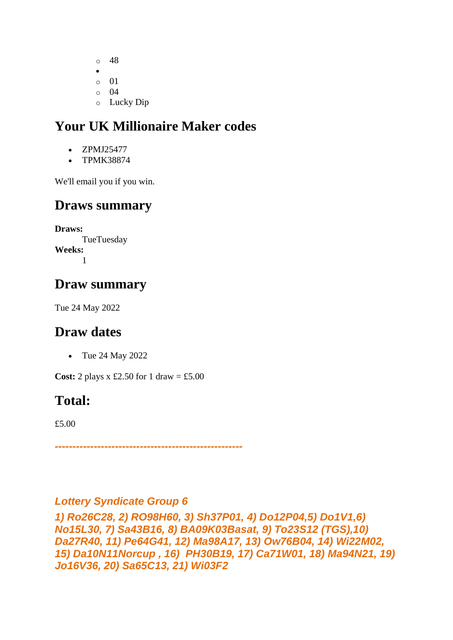o 48 • o 01  $\circ$  04 o Lucky Dip

## **Your UK Millionaire Maker codes**

- ZPMJ25477
- TPMK38874

We'll email you if you win.

## **Draws summary**

**Draws: TueTuesday Weeks:** 1

## **Draw summary**

Tue 24 May 2022

## **Draw dates**

• Tue 24 May 2022

**Cost:** 2 plays x £2.50 for 1 draw = £5.00

## **Total:**

£5.00

*-----------------------------------------------------*

#### *Lottery Syndicate Group 6*

*1) Ro26C28, 2) RO98H60, 3) Sh37P01, 4) Do12P04,5) Do1V1,6) No15L30, 7) Sa43B16, 8) BA09K03Basat, 9) To23S12 (TGS),10) Da27R40, 11) Pe64G41, 12) Ma98A17, 13) Ow76B04, 14) Wi22M02, 15) Da10N11Norcup , 16) PH30B19, 17) Ca71W01, 18) Ma94N21, 19) Jo16V36, 20) Sa65C13, 21) Wi03F2*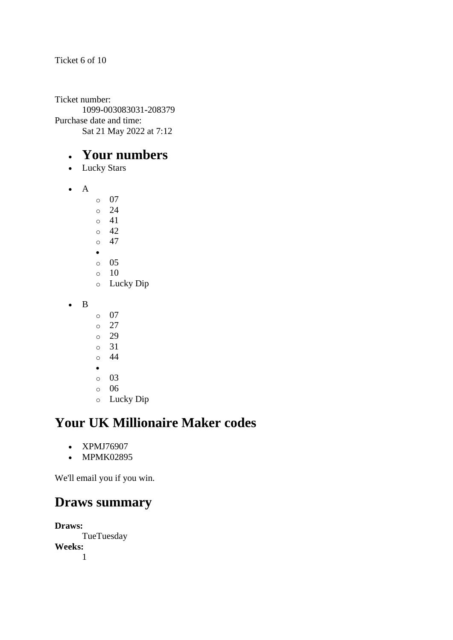#### Ticket 6 of 10

Ticket number: 1099-003083031-208379 Purchase date and time: Sat 21 May 2022 at 7:12

#### • **Your numbers**

- Lucky Stars
- A
- o 07
- o 24  $\circ$  41
- o 42
- $\circ$  47
- •
- $\circ$  05
- $\circ$  10
- o Lucky Dip
- B
- o 07
- o 27
- o 29
- o 31
- o 44
- o 03
- o 06
- o Lucky Dip

## **Your UK Millionaire Maker codes**

- XPMJ76907
- MPMK02895

We'll email you if you win.

## **Draws summary**

**Draws:** TueTuesday **Weeks:** 1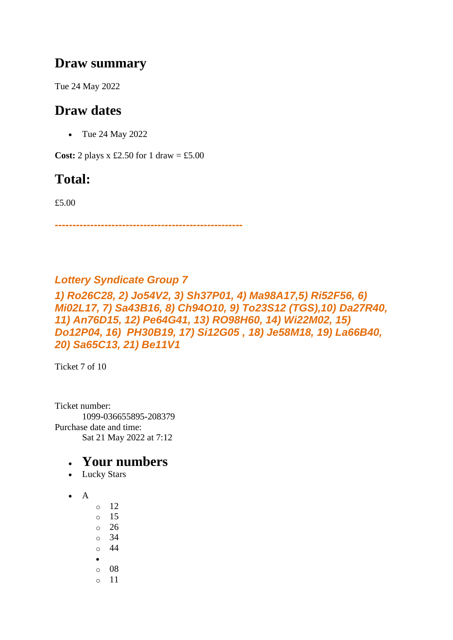#### **Draw summary**

Tue 24 May 2022

## **Draw dates**

• Tue 24 May 2022

**Cost:** 2 plays x £2.50 for 1 draw = £5.00

## **Total:**

£5.00

*-----------------------------------------------------*

#### *Lottery Syndicate Group 7*

*1) Ro26C28, 2) Jo54V2, 3) Sh37P01, 4) Ma98A17,5) Ri52F56, 6) Mi02L17, 7) Sa43B16, 8) Ch94O10, 9) To23S12 (TGS),10) Da27R40, 11) An76D15, 12) Pe64G41, 13) RO98H60, 14) Wi22M02, 15) Do12P04, 16) PH30B19, 17) Si12G05 , 18) Je58M18, 19) La66B40, 20) Sa65C13, 21) Be11V1*

Ticket 7 of 10

Ticket number: 1099-036655895-208379 Purchase date and time: Sat 21 May 2022 at 7:12

- Lucky Stars
- A
- o 12 o 15 o 26 o 34  $\circ$  44 • o 08 o 11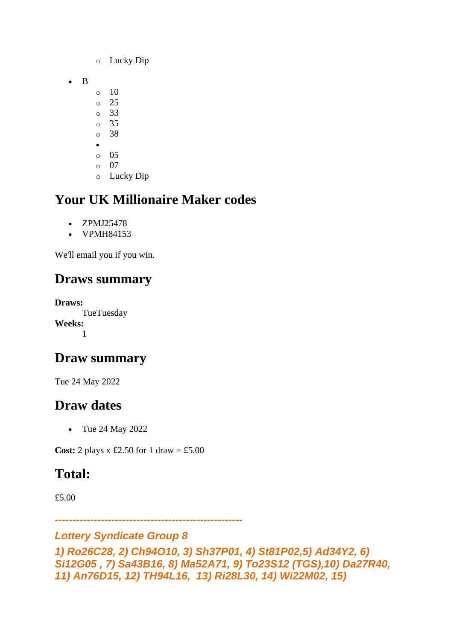- o Lucky Dip
- B
- $\circ$  10
- o 25
- o 33
- o 35 o 38
- •
- o 05
- o 07
- o Lucky Dip

- ZPMJ25478
- VPMH84153

We'll email you if you win.

## **Draws summary**

**Draws:** TueTuesday **Weeks:** 1

## **Draw summary**

Tue 24 May 2022

## **Draw dates**

• Tue 24 May 2022

**Cost:** 2 plays  $x \text{ £}2.50$  for 1 draw = £5.00

## **Total:**

£5.00

*-----------------------------------------------------*

#### *Lottery Syndicate Group 8*

```
1) Ro26C28, 2) Ch94O10, 3) Sh37P01, 4) St81P02,5) Ad34Y2, 6) 
Si12G05 , 7) Sa43B16, 8) Ma52A71, 9) To23S12 (TGS),10) Da27R40, 
11) An76D15, 12) TH94L16, 13) Ri28L30, 14) Wi22M02, 15)
```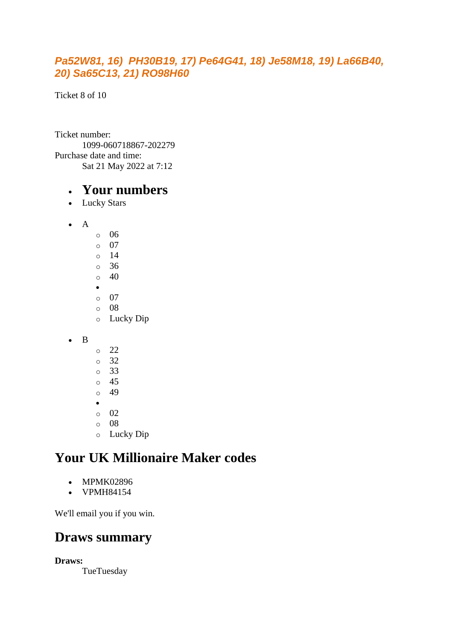#### *Pa52W81, 16) PH30B19, 17) Pe64G41, 18) Je58M18, 19) La66B40, 20) Sa65C13, 21) RO98H60*

Ticket 8 of 10

Ticket number: 1099-060718867-202279 Purchase date and time: Sat 21 May 2022 at 7:12

#### • **Your numbers**

- Lucky Stars
- A
	- o 06 o 07 o 14 o 36  $\circ$  40 • o 07 o 08 o Lucky Dip

• B

- o 22 o 32 o 33 o 45  $\circ$  49 • o 02 o 08 o Lucky Dip
- **Your UK Millionaire Maker codes** 
	- - MPMK02896
		- VPMH84154

We'll email you if you win.

## **Draws summary**

**Draws:**

**TueTuesday**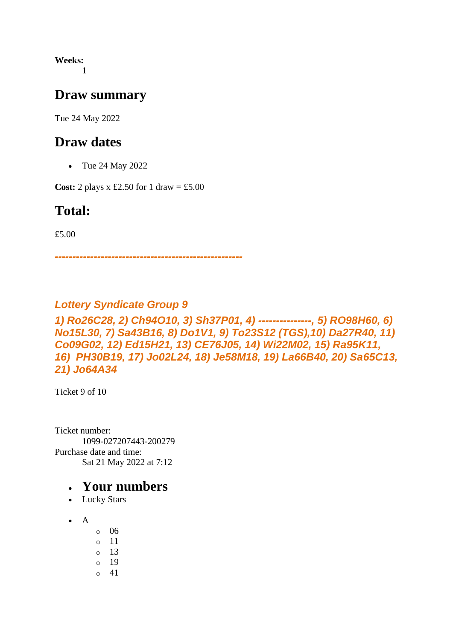**Weeks:** 1

#### **Draw summary**

Tue 24 May 2022

#### **Draw dates**

• Tue 24 May 2022

**Cost:** 2 plays x £2.50 for 1 draw = £5.00

#### **Total:**

£5.00

*-----------------------------------------------------*

#### *Lottery Syndicate Group 9*

*1) Ro26C28, 2) Ch94O10, 3) Sh37P01, 4) ---------------, 5) RO98H60, 6) No15L30, 7) Sa43B16, 8) Do1V1, 9) To23S12 (TGS),10) Da27R40, 11) Co09G02, 12) Ed15H21, 13) CE76J05, 14) Wi22M02, 15) Ra95K11, 16) PH30B19, 17) Jo02L24, 18) Je58M18, 19) La66B40, 20) Sa65C13, 21) Jo64A34*

Ticket 9 of 10

Ticket number: 1099-027207443-200279 Purchase date and time: Sat 21 May 2022 at 7:12

- Lucky Stars
- $\bullet$  A
	- o 06
	- o 11
	- o 13 o 19
	- o 41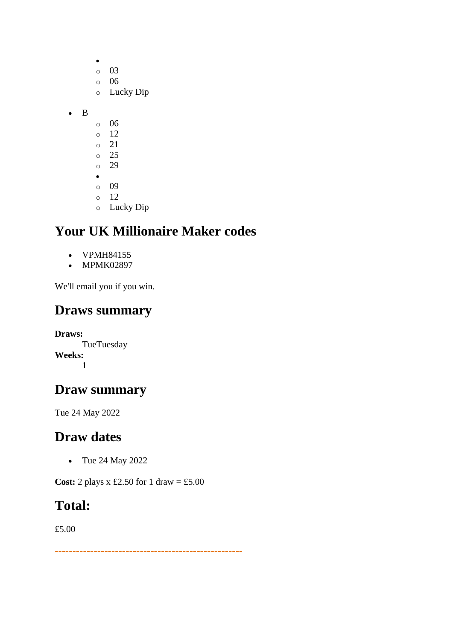|   | O         | 03        |
|---|-----------|-----------|
|   | $\circ$   | 06        |
|   | $\circ$   | Lucky Dip |
|   |           |           |
| B |           |           |
|   | O         | 06        |
|   | $\circ$   | 12        |
|   | $\circ$   | 21        |
|   | $\circ$   | 25        |
|   | $\circ$   | 29        |
|   | $\bullet$ |           |
|   | $\circ$   | 09        |
|   | O         | 12        |

 $\bullet$ 

o Lucky Dip

## **Your UK Millionaire Maker codes**

- VPMH84155
- MPMK02897

We'll email you if you win.

## **Draws summary**

**Draws: TueTuesday Weeks:** 1

### **Draw summary**

Tue 24 May 2022

## **Draw dates**

• Tue 24 May 2022

**Cost:** 2 plays x £2.50 for 1 draw = £5.00

#### **Total:**

£5.00

*-----------------------------------------------------*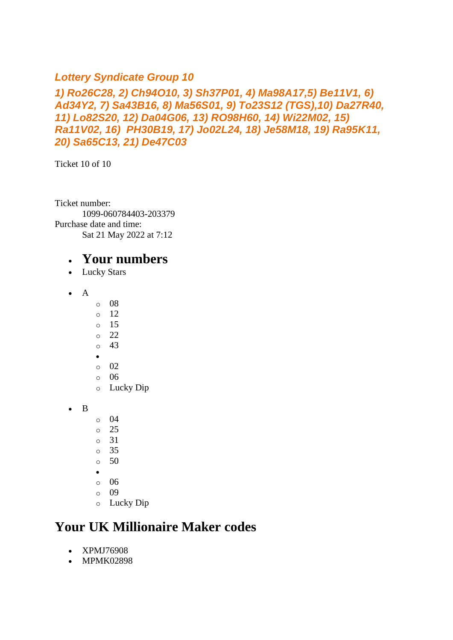#### *Lottery Syndicate Group 10*

*1) Ro26C28, 2) Ch94O10, 3) Sh37P01, 4) Ma98A17,5) Be11V1, 6) Ad34Y2, 7) Sa43B16, 8) Ma56S01, 9) To23S12 (TGS),10) Da27R40, 11) Lo82S20, 12) Da04G06, 13) RO98H60, 14) Wi22M02, 15) Ra11V02, 16) PH30B19, 17) Jo02L24, 18) Je58M18, 19) Ra95K11, 20) Sa65C13, 21) De47C03*

Ticket 10 of 10

Ticket number: 1099-060784403-203379 Purchase date and time: Sat 21 May 2022 at 7:12

#### • **Your numbers**

- Lucky Stars
- $\bullet$  A
- o 08
- o 12
- o 15
- o 22
- o 43
- •
- o 02 o 06
- o Lucky Dip
- B
- o 04
- o 25
- o 31
- o 35
- $\circ$  50
- •
- o 06
- o 09
- o Lucky Dip

## **Your UK Millionaire Maker codes**

- XPMJ76908
- MPMK02898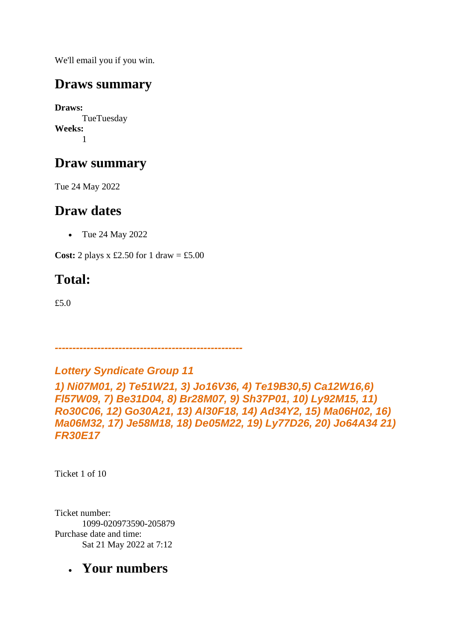We'll email you if you win.

## **Draws summary**

**Draws:** TueTuesday **Weeks:** 1

## **Draw summary**

Tue 24 May 2022

## **Draw dates**

• Tue 24 May 2022

**Cost:** 2 plays x £2.50 for 1 draw = £5.00

# **Total:**

£5.0

*Lottery Syndicate Group 11*

*-----------------------------------------------------*

*1) Ni07M01, 2) Te51W21, 3) Jo16V36, 4) Te19B30,5) Ca12W16,6) Fl57W09, 7) Be31D04, 8) Br28M07, 9) Sh37P01, 10) Ly92M15, 11) Ro30C06, 12) Go30A21, 13) Al30F18, 14) Ad34Y2, 15) Ma06H02, 16) Ma06M32, 17) Je58M18, 18) De05M22, 19) Ly77D26, 20) Jo64A34 21) FR30E17*

Ticket 1 of 10

Ticket number: 1099-020973590-205879 Purchase date and time: Sat 21 May 2022 at 7:12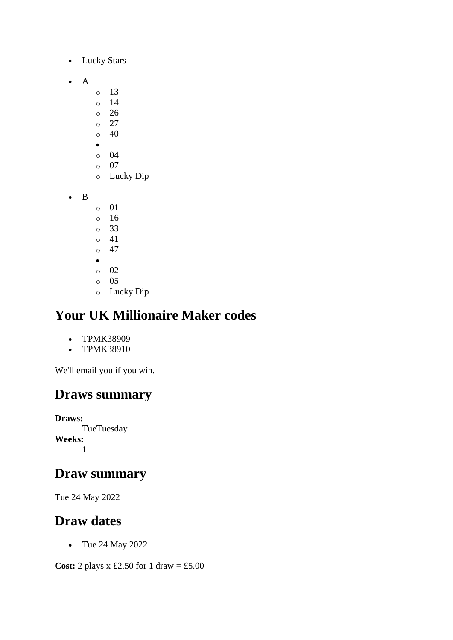- Lucky Stars
- A
- o 13
- o 14
- o 26
- o 27  $\circ$  40
- $\bullet$
- o 04
- o 07
- o Lucky Dip
- B
- o 01
- o 16
- o 33
- o 41  $\circ$  47
- •
- o 02
- o 05
- o Lucky Dip

- TPMK38909
- TPMK38910

We'll email you if you win.

## **Draws summary**

**Draws: TueTuesday Weeks:** 1

## **Draw summary**

Tue 24 May 2022

## **Draw dates**

• Tue 24 May 2022

**Cost:** 2 plays x £2.50 for 1 draw = £5.00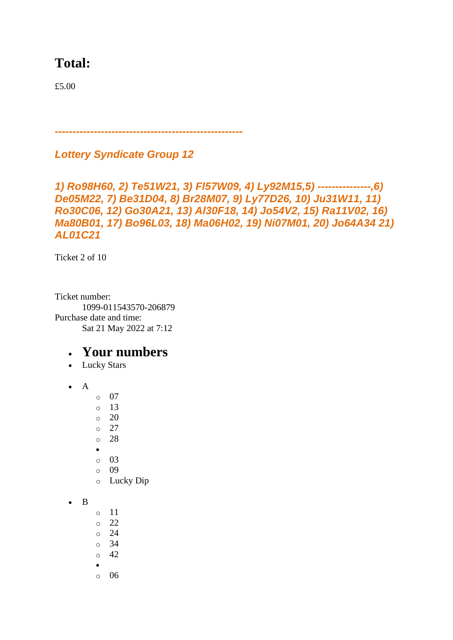## **Total:**

£5.00

*-----------------------------------------------------*

*Lottery Syndicate Group 12*

```
1) Ro98H60, 2) Te51W21, 3) Fl57W09, 4) Ly92M15,5) ---------------,6) 
De05M22, 7) Be31D04, 8) Br28M07, 9) Ly77D26, 10) Ju31W11, 11) 
Ro30C06, 12) Go30A21, 13) Al30F18, 14) Jo54V2, 15) Ra11V02, 16) 
Ma80B01, 17) Bo96L03, 18) Ma06H02, 19) Ni07M01, 20) Jo64A34 21) 
AL01C21
```
Ticket 2 of 10

Ticket number: 1099-011543570-206879 Purchase date and time: Sat 21 May 2022 at 7:12

- Lucky Stars
- A
- o 07
- $\circ$  13
- $\circ$  20
- o 27
- o 28
- •
- o 03
- o 09
- o Lucky Dip
- B
- o 11
- o 22
- o 24
- o 34
- $\circ$  42
- •
- o 06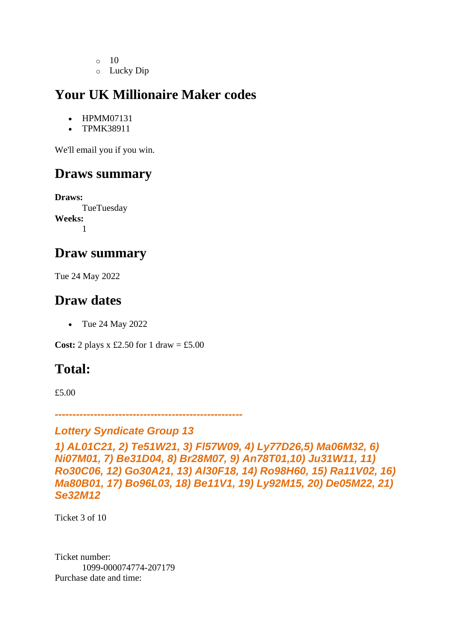- o 10
- o Lucky Dip

- HPMM07131
- TPMK38911

We'll email you if you win.

## **Draws summary**

**Draws: TueTuesday Weeks:** 1

#### **Draw summary**

Tue 24 May 2022

## **Draw dates**

• Tue 24 May 2022

**Cost:** 2 plays x £2.50 for 1 draw = £5.00

## **Total:**

£5.00

*-----------------------------------------------------*

#### *Lottery Syndicate Group 13*

*1) AL01C21, 2) Te51W21, 3) Fl57W09, 4) Ly77D26,5) Ma06M32, 6) Ni07M01, 7) Be31D04, 8) Br28M07, 9) An78T01,10) Ju31W11, 11) Ro30C06, 12) Go30A21, 13) Al30F18, 14) Ro98H60, 15) Ra11V02, 16) Ma80B01, 17) Bo96L03, 18) Be11V1, 19) Ly92M15, 20) De05M22, 21) Se32M12*

Ticket 3 of 10

Ticket number: 1099-000074774-207179 Purchase date and time: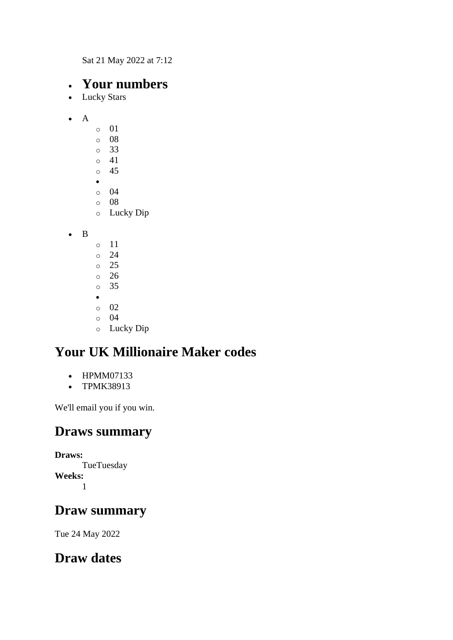Sat 21 May 2022 at 7:12

### • **Your numbers**

- Lucky Stars
- $\bullet$  A o 01 o 08 o 33 o 41 o 45 • o 04 o 08 o Lucky Dip

• B

o 11  $\circ$  24 o 25 o 26 o 35 • o 02 o 04 o Lucky Dip

## **Your UK Millionaire Maker codes**

- HPMM07133
- TPMK38913

We'll email you if you win.

## **Draws summary**

**Draws: TueTuesday Weeks:** 1

## **Draw summary**

Tue 24 May 2022

## **Draw dates**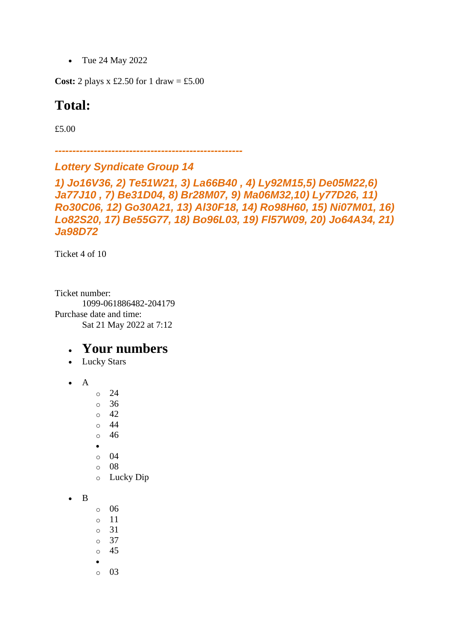• Tue 24 May 2022

**Cost:** 2 plays x £2.50 for 1 draw = £5.00

#### **Total:**

£5.00

*-----------------------------------------------------*

#### *Lottery Syndicate Group 14*

```
1) Jo16V36, 2) Te51W21, 3) La66B40 , 4) Ly92M15,5) De05M22,6) 
Ja77J10 , 7) Be31D04, 8) Br28M07, 9) Ma06M32,10) Ly77D26, 11) 
Ro30C06, 12) Go30A21, 13) Al30F18, 14) Ro98H60, 15) Ni07M01, 16) 
Lo82S20, 17) Be55G77, 18) Bo96L03, 19) Fl57W09, 20) Jo64A34, 21) 
Ja98D72
```
Ticket 4 of 10

Ticket number: 1099-061886482-204179 Purchase date and time: Sat 21 May 2022 at 7:12

- Lucky Stars
- A
- o 24
- o 36
- $\circ$  42 o 44
- o 46
- •
- o 04
- o 08
- o Lucky Dip
- B
- o 06
- o 11
- o 31
- o 37
- o 45
- •
- o 03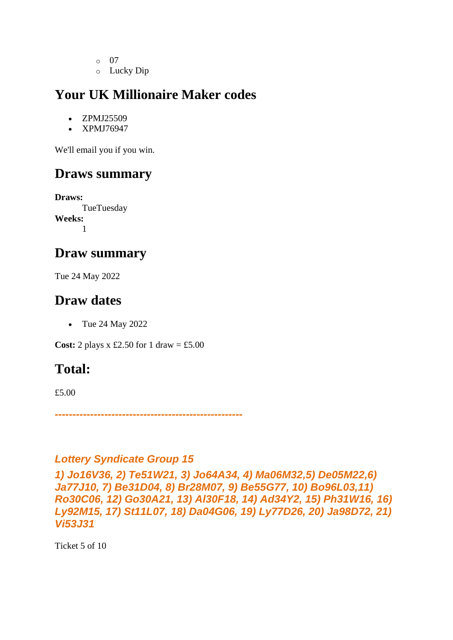- o 07
- o Lucky Dip

- ZPMJ25509
- XPMJ76947

We'll email you if you win.

## **Draws summary**

**Draws:** TueTuesday **Weeks:** 1

#### **Draw summary**

Tue 24 May 2022

## **Draw dates**

• Tue 24 May 2022

**Cost:** 2 plays x £2.50 for 1 draw = £5.00

## **Total:**

£5.00

*-----------------------------------------------------*

#### *Lottery Syndicate Group 15*

*1) Jo16V36, 2) Te51W21, 3) Jo64A34, 4) Ma06M32,5) De05M22,6) Ja77J10, 7) Be31D04, 8) Br28M07, 9) Be55G77, 10) Bo96L03,11) Ro30C06, 12) Go30A21, 13) Al30F18, 14) Ad34Y2, 15) Ph31W16, 16) Ly92M15, 17) St11L07, 18) Da04G06, 19) Ly77D26, 20) Ja98D72, 21) Vi53J31*

Ticket 5 of 10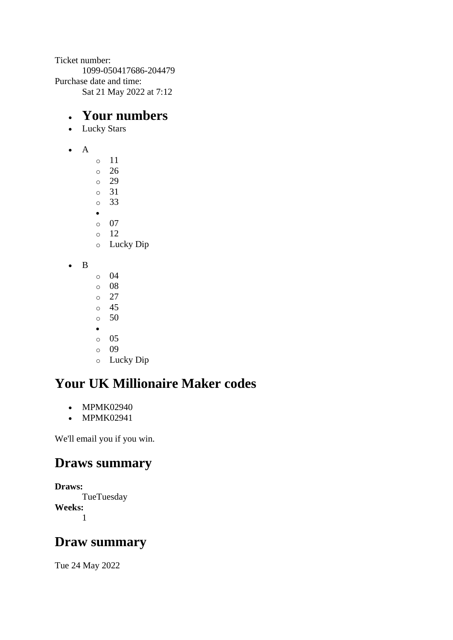Ticket number: 1099-050417686-204479 Purchase date and time: Sat 21 May 2022 at 7:12

## • **Your numbers**

- Lucky Stars
- A
- o 11
- o 26 o 29
- o 31
- o 33
- •
- o 07
- o 12
- o Lucky Dip
- B
- o 04
- o 08 o 27
- o 45
- $\circ$  50
- •
- $\circ$  05
- o 09
- o Lucky Dip

# **Your UK Millionaire Maker codes**

- MPMK02940
- MPMK02941

We'll email you if you win.

## **Draws summary**

**Draws: TueTuesday Weeks:** 1

## **Draw summary**

Tue 24 May 2022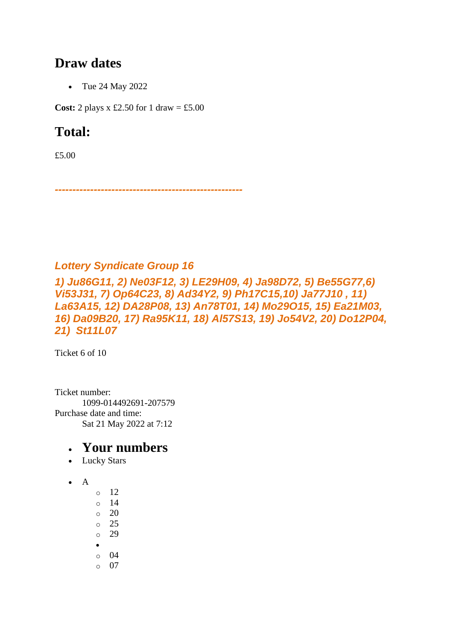#### **Draw dates**

• Tue 24 May 2022

**Cost:** 2 plays x £2.50 for 1 draw = £5.00

## **Total:**

£5.00

*-----------------------------------------------------*

#### *Lottery Syndicate Group 16*

*1) Ju86G11, 2) Ne03F12, 3) LE29H09, 4) Ja98D72, 5) Be55G77,6) Vi53J31, 7) Op64C23, 8) Ad34Y2, 9) Ph17C15,10) Ja77J10 , 11) La63A15, 12) DA28P08, 13) An78T01, 14) Mo29O15, 15) Ea21M03, 16) Da09B20, 17) Ra95K11, 18) Al57S13, 19) Jo54V2, 20) Do12P04, 21) St11L07*

Ticket 6 of 10

Ticket number: 1099-014492691-207579 Purchase date and time: Sat 21 May 2022 at 7:12

- Lucky Stars
- $\bullet$  A
- o 12
- o 14
- o 20
- o 25
- o 29
- o 04
- $\circ$  07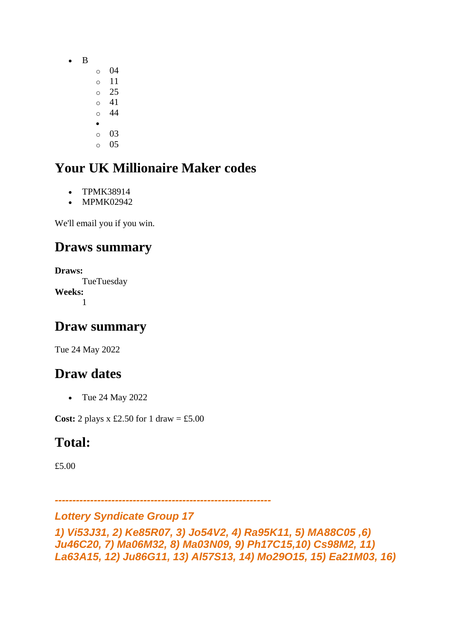- B
- o 04 o 11 o 25 o 41
- o 44
- •
- o 03 o 05

- TPMK38914
- MPMK02942

We'll email you if you win.

## **Draws summary**

**Draws: TueTuesday Weeks:** 1

## **Draw summary**

Tue 24 May 2022

## **Draw dates**

• Tue 24 May 2022

**Cost:** 2 plays  $x \text{ £}2.50$  for 1 draw = £5.00

## **Total:**

£5.00

*-------------------------------------------------------------*

*Lottery Syndicate Group 17* 

*1) Vi53J31, 2) Ke85R07, 3) Jo54V2, 4) Ra95K11, 5) MA88C05 ,6) Ju46C20, 7) Ma06M32, 8) Ma03N09, 9) Ph17C15,10) Cs98M2, 11) La63A15, 12) Ju86G11, 13) Al57S13, 14) Mo29O15, 15) Ea21M03, 16)*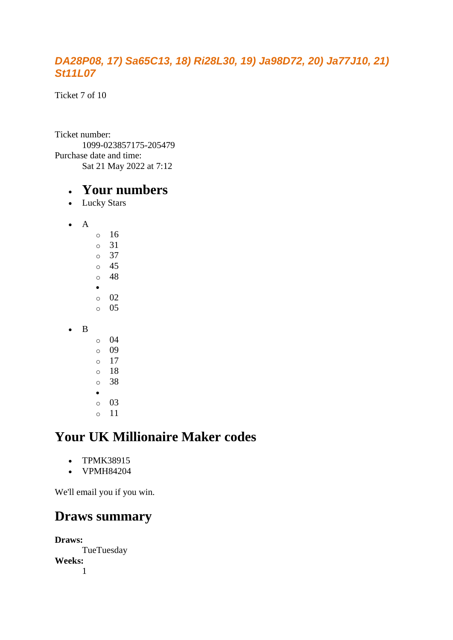#### *DA28P08, 17) Sa65C13, 18) Ri28L30, 19) Ja98D72, 20) Ja77J10, 21) St11L07*

Ticket 7 of 10

Ticket number: 1099-023857175-205479 Purchase date and time: Sat 21 May 2022 at 7:12

#### • **Your numbers**

- Lucky Stars
- A o 16 o 31 o 37
	- o 45 o 48 • o 02 o 05
- B
- $\circ$  04 o 09 o 17  $\circ$  18 o 38 • o 03
- o 11

## **Your UK Millionaire Maker codes**

- TPMK38915
- VPMH84204

We'll email you if you win.

## **Draws summary**

**Draws: TueTuesday Weeks:** 1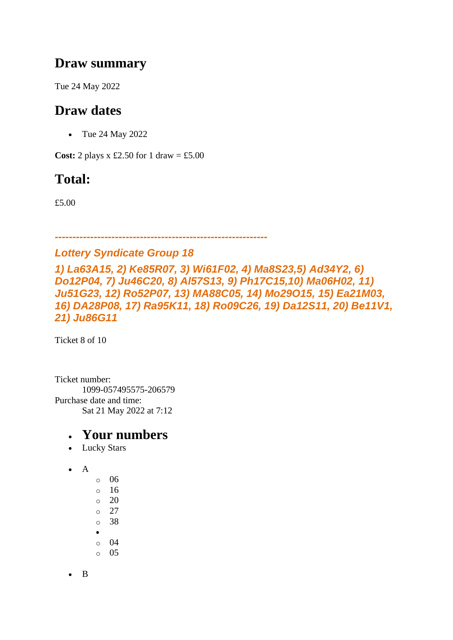### **Draw summary**

Tue 24 May 2022

## **Draw dates**

• Tue 24 May 2022

**Cost:** 2 plays  $x \text{ £}2.50$  for 1 draw = £5.00

## **Total:**

£5.00

#### *------------------------------------------------------------*

#### *Lottery Syndicate Group 18*

*1) La63A15, 2) Ke85R07, 3) Wi61F02, 4) Ma8S23,5) Ad34Y2, 6) Do12P04, 7) Ju46C20, 8) Al57S13, 9) Ph17C15,10) Ma06H02, 11) Ju51G23, 12) Ro52P07, 13) MA88C05, 14) Mo29O15, 15) Ea21M03, 16) DA28P08, 17) Ra95K11, 18) Ro09C26, 19) Da12S11, 20) Be11V1, 21) Ju86G11*

Ticket 8 of 10

Ticket number: 1099-057495575-206579 Purchase date and time: Sat 21 May 2022 at 7:12

#### • **Your numbers**

- Lucky Stars
- A
- o 06
- $\circ$  16
- $\circ$  20 o 27
- o 38
- •
- o 04
- o 05

• B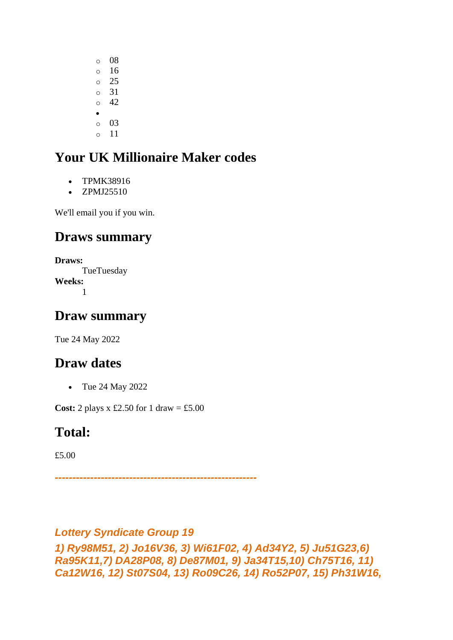- o 08 o 16 o 25 o 31  $\circ$  42 • o 03
- o 11

- TPMK38916
- ZPMJ25510

We'll email you if you win.

## **Draws summary**

**Draws:** TueTuesday **Weeks:** 1

## **Draw summary**

Tue 24 May 2022

## **Draw dates**

• Tue 24 May 2022

**Cost:** 2 plays  $x \text{ £}2.50$  for 1 draw = £5.00

## **Total:**

£5.00

*---------------------------------------------------------*

#### *Lottery Syndicate Group 19*

*1) Ry98M51, 2) Jo16V36, 3) Wi61F02, 4) Ad34Y2, 5) Ju51G23,6) Ra95K11,7) DA28P08, 8) De87M01, 9) Ja34T15,10) Ch75T16, 11) Ca12W16, 12) St07S04, 13) Ro09C26, 14) Ro52P07, 15) Ph31W16,*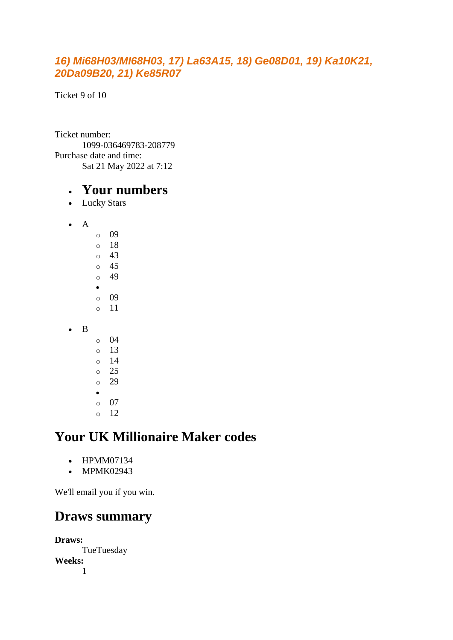#### *16) Mi68H03/MI68H03, 17) La63A15, 18) Ge08D01, 19) Ka10K21, 20Da09B20, 21) Ke85R07*

Ticket 9 of 10

Ticket number: 1099-036469783-208779 Purchase date and time: Sat 21 May 2022 at 7:12

#### • **Your numbers**

- Lucky Stars
- A o 09 o 18 o 43 o 45 o 49 • o 09 o 11 • B  $\circ$  04 o 13 o 14 o 25  $\degree$  29 •

## **Your UK Millionaire Maker codes**

• HPMM07134

o 07 o 12

• MPMK02943

We'll email you if you win.

## **Draws summary**

**Draws: TueTuesday Weeks:** 1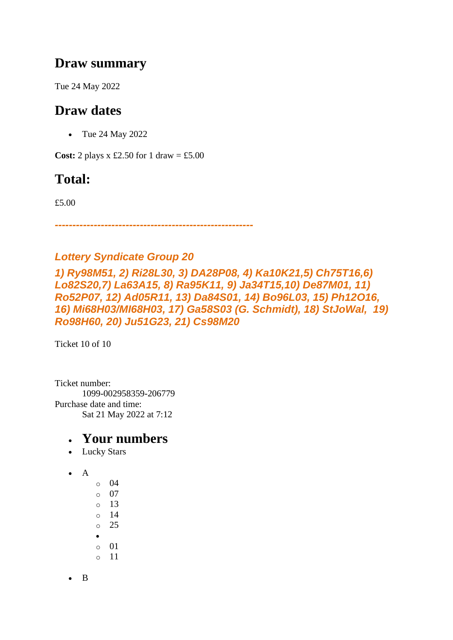### **Draw summary**

Tue 24 May 2022

## **Draw dates**

• Tue 24 May 2022

**Cost:** 2 plays x £2.50 for 1 draw = £5.00

## **Total:**

£5.00

*--------------------------------------------------------*

#### *Lottery Syndicate Group 20*

*1) Ry98M51, 2) Ri28L30, 3) DA28P08, 4) Ka10K21,5) Ch75T16,6) Lo82S20,7) La63A15, 8) Ra95K11, 9) Ja34T15,10) De87M01, 11) Ro52P07, 12) Ad05R11, 13) Da84S01, 14) Bo96L03, 15) Ph12O16, 16) Mi68H03/MI68H03, 17) Ga58S03 (G. Schmidt), 18) StJoWal, 19) Ro98H60, 20) Ju51G23, 21) Cs98M20*

Ticket 10 of 10

Ticket number: 1099-002958359-206779 Purchase date and time: Sat 21 May 2022 at 7:12

- Lucky Stars
- A
- o 04 o 07 o 13 o 14 o 25 • o 01 o 11
- B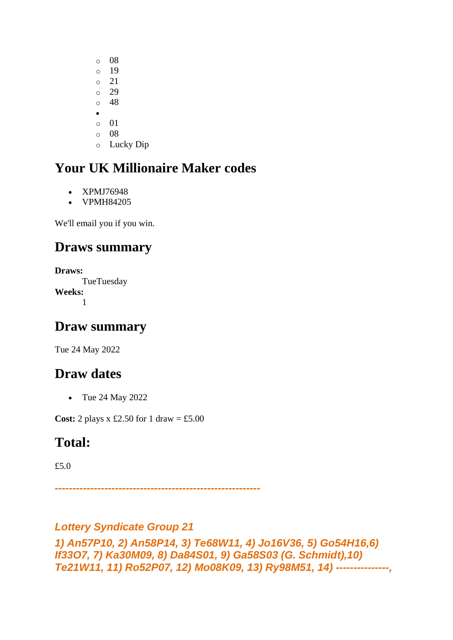- o 08 o 19 o 21 o 29 o 48 • o 01 o 08
- o Lucky Dip

- XPMJ76948
- VPMH84205

We'll email you if you win.

## **Draws summary**

**Draws: TueTuesday Weeks:** 1

## **Draw summary**

Tue 24 May 2022

## **Draw dates**

• Tue 24 May 2022

**Cost:** 2 plays  $x \text{ £}2.50$  for 1 draw = £5.00

## **Total:**

£5.0

*----------------------------------------------------------*

#### *Lottery Syndicate Group 21*

*1) An57P10, 2) An58P14, 3) Te68W11, 4) Jo16V36, 5) Go54H16,6) If33O7, 7) Ka30M09, 8) Da84S01, 9) Ga58S03 (G. Schmidt),10) Te21W11, 11) Ro52P07, 12) Mo08K09, 13) Ry98M51, 14) ---------------,*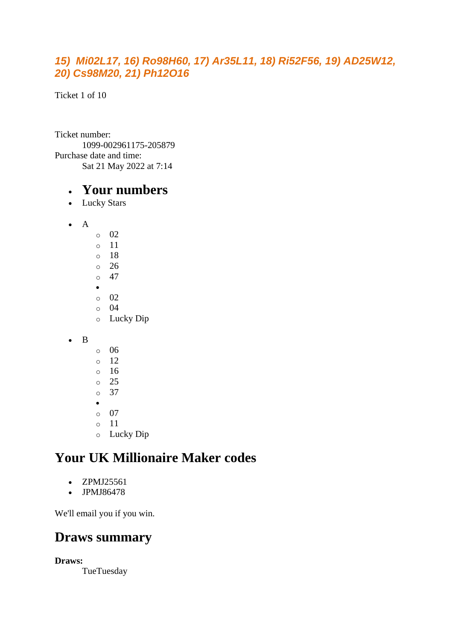#### *15) Mi02L17, 16) Ro98H60, 17) Ar35L11, 18) Ri52F56, 19) AD25W12, 20) Cs98M20, 21) Ph12O16*

Ticket 1 of 10

Ticket number: 1099-002961175-205879 Purchase date and time: Sat 21 May 2022 at 7:14

#### • **Your numbers**

- Lucky Stars
- A
	- o 02 o 11 o 18 o 26  $\circ$  47 • o 02 o 04 o Lucky Dip

• B

o 06 o 12  $\circ$  16 o 25 o 37 • o 07 o 11 o Lucky Dip

## **Your UK Millionaire Maker codes**

- ZPMJ25561
- JPMJ86478

We'll email you if you win.

## **Draws summary**

**Draws:**

**TueTuesday**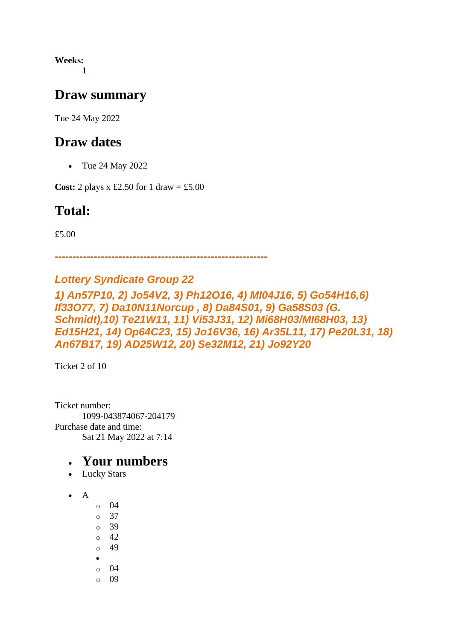**Weeks:** 1

#### **Draw summary**

Tue 24 May 2022

#### **Draw dates**

• Tue 24 May 2022

**Cost:** 2 plays x £2.50 for 1 draw = £5.00

## **Total:**

£5.00

*------------------------------------------------------------*

#### *Lottery Syndicate Group 22*

*1) An57P10, 2) Jo54V2, 3) Ph12O16, 4) MI04J16, 5) Go54H16,6) If33O77, 7) Da10N11Norcup , 8) Da84S01, 9) Ga58S03 (G. Schmidt),10) Te21W11, 11) Vi53J31, 12) Mi68H03/MI68H03, 13) Ed15H21, 14) Op64C23, 15) Jo16V36, 16) Ar35L11, 17) Pe20L31, 18) An67B17, 19) AD25W12, 20) Se32M12, 21) Jo92Y20*

Ticket 2 of 10

Ticket number: 1099-043874067-204179 Purchase date and time: Sat 21 May 2022 at 7:14

- Lucky Stars
- A
	- $\circ$  04  $\circ$  37
	- o 39
	- $\circ$  42 o 49
	-
	- o 04
	- o 09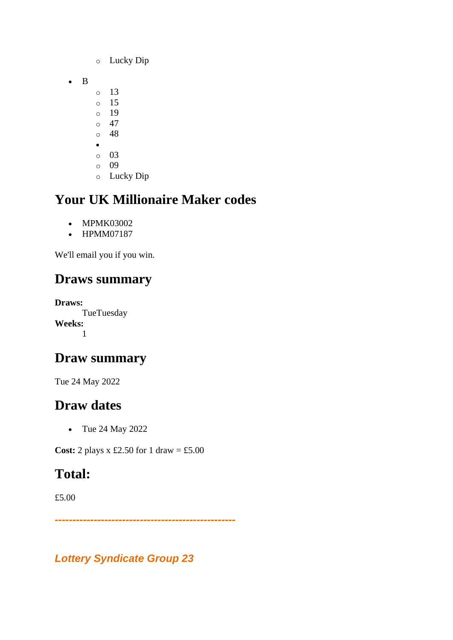- o Lucky Dip
- B
- o 13
- o 15
- o 19  $\circ$  47
- o 48
- •
- o 03
- o 09
- o Lucky Dip

- MPMK03002
- HPMM07187

We'll email you if you win.

# **Draws summary**

**Draws: TueTuesday Weeks:** 1

## **Draw summary**

Tue 24 May 2022

# **Draw dates**

• Tue 24 May 2022

**Cost:** 2 plays x £2.50 for 1 draw = £5.00

# **Total:**

£5.00

*---------------------------------------------------*

*Lottery Syndicate Group 23*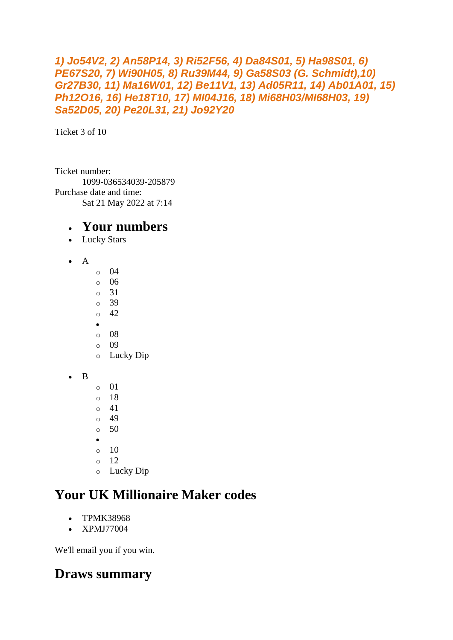```
1) Jo54V2, 2) An58P14, 3) Ri52F56, 4) Da84S01, 5) Ha98S01, 6) 
PE67S20, 7) Wi90H05, 8) Ru39M44, 9) Ga58S03 (G. Schmidt),10) 
Gr27B30, 11) Ma16W01, 12) Be11V1, 13) Ad05R11, 14) Ab01A01, 15) 
Ph12O16, 16) He18T10, 17) MI04J16, 18) Mi68H03/MI68H03, 19) 
Sa52D05, 20) Pe20L31, 21) Jo92Y20
```
Ticket 3 of 10

Ticket number: 1099-036534039-205879 Purchase date and time: Sat 21 May 2022 at 7:14

#### • **Your numbers**

- Lucky Stars
- A
- $\circ$  04 o 06 o 31 o 39  $\circ$  42
- •
- o 08
- o 09
- o Lucky Dip
- B
- o 01 o 18  $\circ$  41
- o 49
- $\circ$  50
- •
- $\circ$  10
- $\circ$  12 o Lucky Dip

# **Your UK Millionaire Maker codes**

- TPMK38968
- XPMJ77004

We'll email you if you win.

## **Draws summary**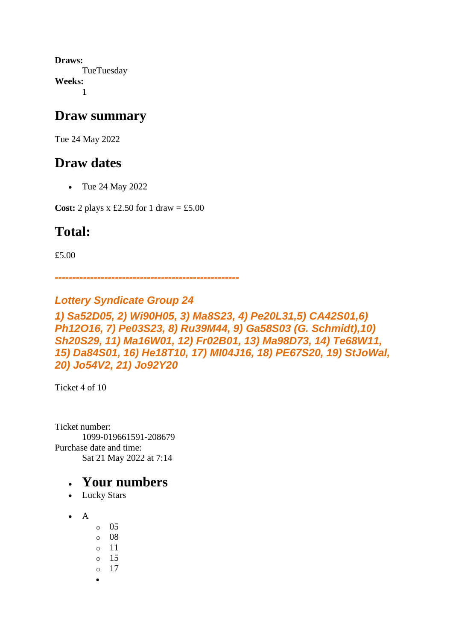**Draws: TueTuesday Weeks:** 1

#### **Draw summary**

Tue 24 May 2022

### **Draw dates**

• Tue 24 May 2022

**Cost:** 2 plays x £2.50 for 1 draw = £5.00

## **Total:**

£5.00

*----------------------------------------------------*

#### *Lottery Syndicate Group 24*

*1) Sa52D05, 2) Wi90H05, 3) Ma8S23, 4) Pe20L31,5) CA42S01,6) Ph12O16, 7) Pe03S23, 8) Ru39M44, 9) Ga58S03 (G. Schmidt),10) Sh20S29, 11) Ma16W01, 12) Fr02B01, 13) Ma98D73, 14) Te68W11, 15) Da84S01, 16) He18T10, 17) MI04J16, 18) PE67S20, 19) StJoWal, 20) Jo54V2, 21) Jo92Y20*

Ticket 4 of 10

Ticket number: 1099-019661591-208679 Purchase date and time: Sat 21 May 2022 at 7:14

- Lucky Stars
- A
- o 05
- o 08
- o 11
- o 15
- o 17
- •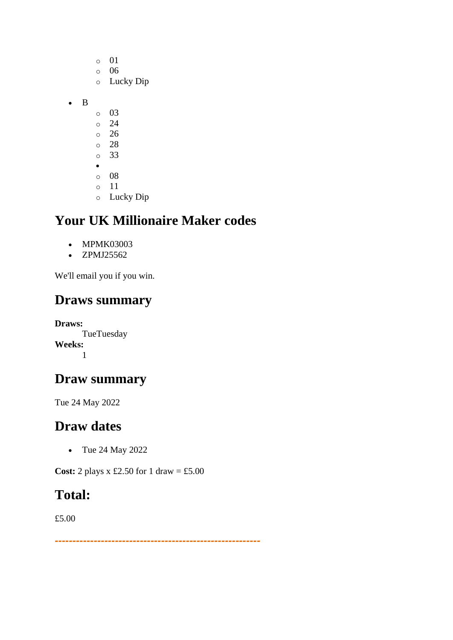- o 01 o 06 o Lucky Dip • B o 03 o 24 o 26 o 28 o 33 • o 08 o 11
	- o Lucky Dip

- MPMK03003
- ZPMJ25562

We'll email you if you win.

#### **Draws summary**

**Draws: TueTuesday Weeks:** 1

## **Draw summary**

Tue 24 May 2022

## **Draw dates**

• Tue 24 May 2022

**Cost:** 2 plays x £2.50 for 1 draw = £5.00

## **Total:**

£5.00

*----------------------------------------------------------*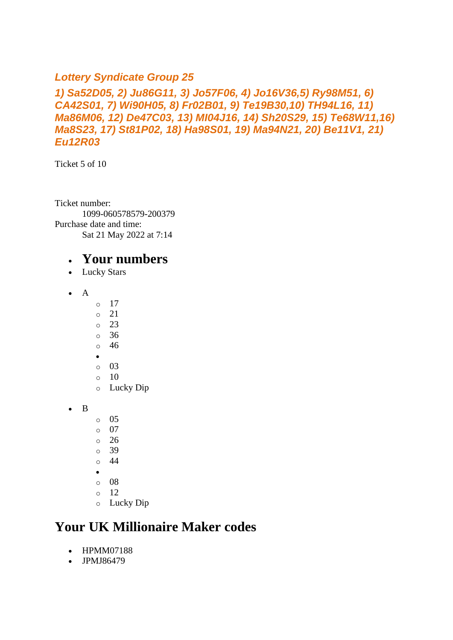#### *Lottery Syndicate Group 25*

#### *1) Sa52D05, 2) Ju86G11, 3) Jo57F06, 4) Jo16V36,5) Ry98M51, 6) CA42S01, 7) Wi90H05, 8) Fr02B01, 9) Te19B30,10) TH94L16, 11) Ma86M06, 12) De47C03, 13) MI04J16, 14) Sh20S29, 15) Te68W11,16) Ma8S23, 17) St81P02, 18) Ha98S01, 19) Ma94N21, 20) Be11V1, 21) Eu12R03*

Ticket 5 of 10

Ticket number: 1099-060578579-200379 Purchase date and time: Sat 21 May 2022 at 7:14

#### • **Your numbers**

- Lucky Stars
- $\bullet$  A
- o 17
- $\circ$  21
- o 23
- o 36
- o 46
- o 03
- $\circ$  10
- o Lucky Dip
- B
- o 05
- o 07
- o 26
- o 39
- o 44
- •
- o 08
- o 12
- o Lucky Dip

## **Your UK Millionaire Maker codes**

- HPMM07188
- JPMJ86479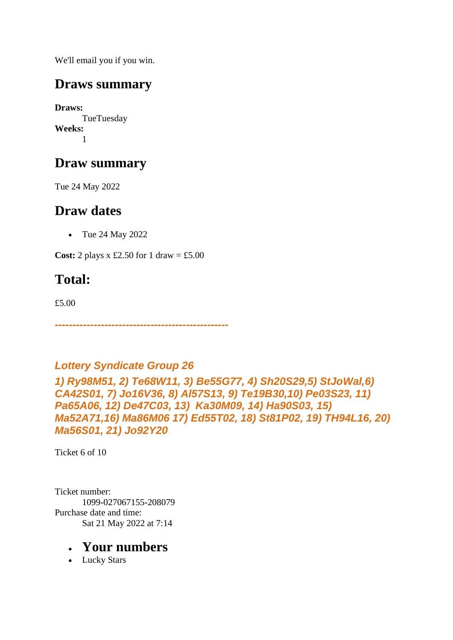We'll email you if you win.

## **Draws summary**

**Draws:** TueTuesday **Weeks:** 1

## **Draw summary**

Tue 24 May 2022

## **Draw dates**

• Tue 24 May 2022

**Cost:** 2 plays x £2.50 for 1 draw = £5.00

# **Total:**

£5.00

*-------------------------------------------------*

#### *Lottery Syndicate Group 26*

*1) Ry98M51, 2) Te68W11, 3) Be55G77, 4) Sh20S29,5) StJoWal,6) CA42S01, 7) Jo16V36, 8) Al57S13, 9) Te19B30,10) Pe03S23, 11) Pa65A06, 12) De47C03, 13) Ka30M09, 14) Ha90S03, 15) Ma52A71,16) Ma86M06 17) Ed55T02, 18) St81P02, 19) TH94L16, 20) Ma56S01, 21) Jo92Y20*

Ticket 6 of 10

Ticket number: 1099-027067155-208079 Purchase date and time: Sat 21 May 2022 at 7:14

#### • **Your numbers**

• Lucky Stars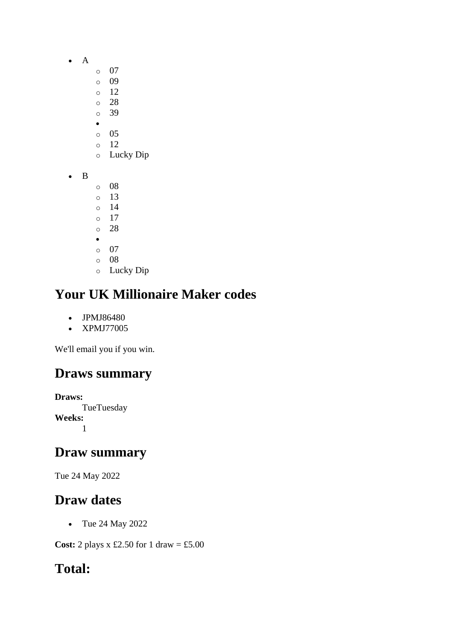- A
	- o 07
	- o 09
	- o 12
	- o 28 o 39
	- •
	- o 05
	- o 12
	- o Lucky Dip
- B
- o 08 o 13 o 14
- o 17
- o 28
- •
- o 07 o 08
- o Lucky Dip

- JPMJ86480
- XPMJ77005

We'll email you if you win.

# **Draws summary**

**Draws: TueTuesday Weeks:** 1

## **Draw summary**

Tue 24 May 2022

# **Draw dates**

• Tue 24 May 2022

**Cost:** 2 plays x £2.50 for 1 draw = £5.00

## **Total:**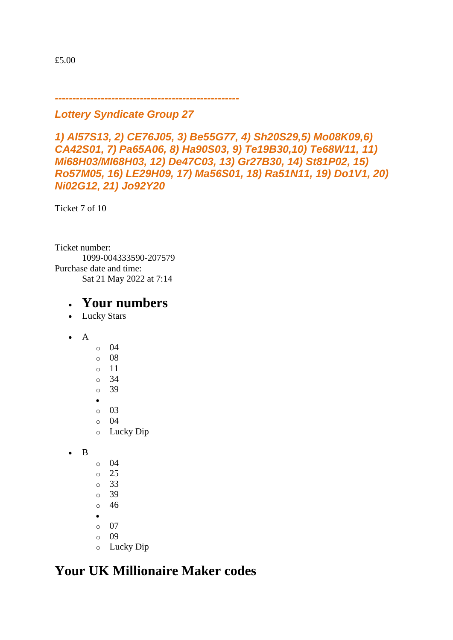£5.00

*----------------------------------------------------*

#### *Lottery Syndicate Group 27*

*1) Al57S13, 2) CE76J05, 3) Be55G77, 4) Sh20S29,5) Mo08K09,6) CA42S01, 7) Pa65A06, 8) Ha90S03, 9) Te19B30,10) Te68W11, 11) Mi68H03/MI68H03, 12) De47C03, 13) Gr27B30, 14) St81P02, 15) Ro57M05, 16) LE29H09, 17) Ma56S01, 18) Ra51N11, 19) Do1V1, 20) Ni02G12, 21) Jo92Y20*

Ticket 7 of 10

Ticket number: 1099-004333590-207579 Purchase date and time: Sat 21 May 2022 at 7:14

#### • **Your numbers**

- Lucky Stars
- A
- $\circ$  04 o 08 o 11 o 34 o 39 • o 03 o 04 o Lucky Dip
- B
- o 04 o 25
- o 33
- o 39
- o 46
- •
- o 07
- o 09
- o Lucky Dip

## **Your UK Millionaire Maker codes**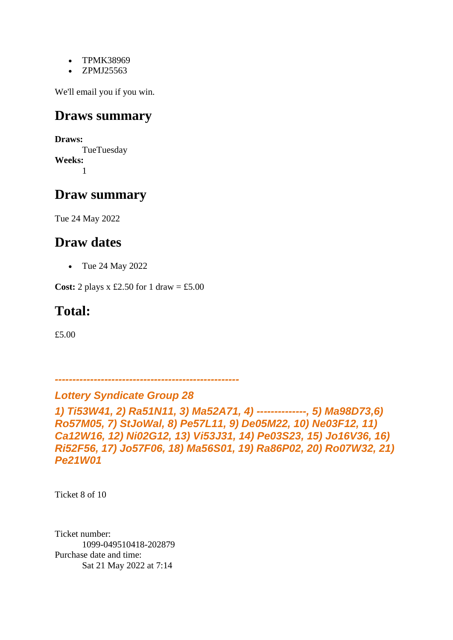- TPMK38969
- ZPMJ25563

We'll email you if you win.

#### **Draws summary**

**Draws: TueTuesday Weeks:** 1

## **Draw summary**

Tue 24 May 2022

#### **Draw dates**

• Tue 24 May 2022

**Cost:** 2 plays x £2.50 for 1 draw = £5.00

## **Total:**

£5.00

*----------------------------------------------------*

*Lottery Syndicate Group 28*

*1) Ti53W41, 2) Ra51N11, 3) Ma52A71, 4) --------------, 5) Ma98D73,6) Ro57M05, 7) StJoWal, 8) Pe57L11, 9) De05M22, 10) Ne03F12, 11) Ca12W16, 12) Ni02G12, 13) Vi53J31, 14) Pe03S23, 15) Jo16V36, 16) Ri52F56, 17) Jo57F06, 18) Ma56S01, 19) Ra86P02, 20) Ro07W32, 21) Pe21W01*

Ticket 8 of 10

Ticket number: 1099-049510418-202879 Purchase date and time: Sat 21 May 2022 at 7:14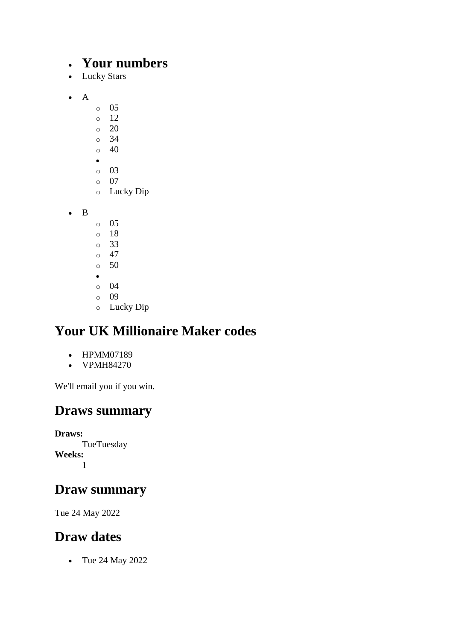#### • **Your numbers**

- Lucky Stars
- A
- o 05
- o 12
- o 20
- o 34
- o 40 •
- o 03
- o 07
- o Lucky Dip

• B

- o 05
- o 18
- o 33
- $\circ$  47  $\circ$  50
- •
- o 04
- o 09
- o Lucky Dip

# **Your UK Millionaire Maker codes**

- HPMM07189
- VPMH84270

We'll email you if you win.

## **Draws summary**

**Draws: TueTuesday Weeks:** 1

## **Draw summary**

Tue 24 May 2022

## **Draw dates**

• Tue 24 May 2022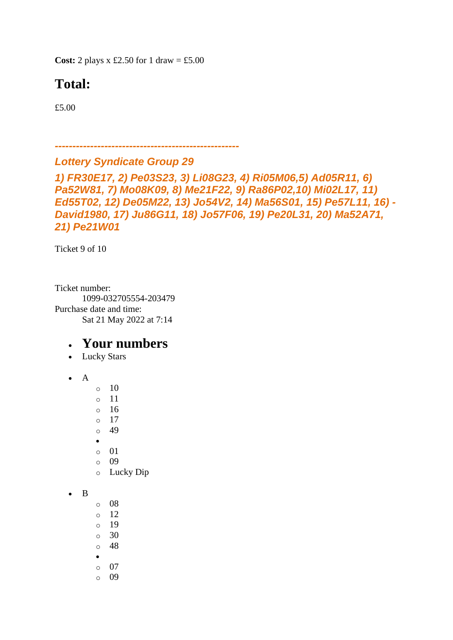**Cost:** 2 plays  $x \text{ £}2.50$  for 1 draw = £5.00

## **Total:**

£5.00

*----------------------------------------------------*

#### *Lottery Syndicate Group 29*

*1) FR30E17, 2) Pe03S23, 3) Li08G23, 4) Ri05M06,5) Ad05R11, 6) Pa52W81, 7) Mo08K09, 8) Me21F22, 9) Ra86P02,10) Mi02L17, 11) Ed55T02, 12) De05M22, 13) Jo54V2, 14) Ma56S01, 15) Pe57L11, 16) - David1980, 17) Ju86G11, 18) Jo57F06, 19) Pe20L31, 20) Ma52A71, 21) Pe21W01*

Ticket 9 of 10

Ticket number: 1099-032705554-203479 Purchase date and time: Sat 21 May 2022 at 7:14

- Lucky Stars
- A
- $\circ$  10
- o 11
- o 16
- o 17
- o 49
- •
- o 01
- o 09
- o Lucky Dip
- B
- $\circ$  08
- o 12
- $\circ$  19
- $\circ$  30
- o 48
- o 07
- o 09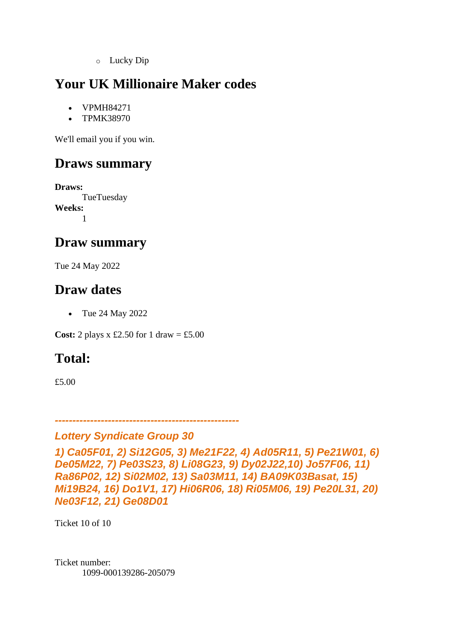o Lucky Dip

## **Your UK Millionaire Maker codes**

- VPMH84271
- TPMK38970

We'll email you if you win.

## **Draws summary**

**Draws: TueTuesday Weeks:** 1

#### **Draw summary**

Tue 24 May 2022

## **Draw dates**

• Tue 24 May 2022

**Cost:** 2 plays x £2.50 for 1 draw = £5.00

## **Total:**

£5.00

```
----------------------------------------------------
```
#### *Lottery Syndicate Group 30*

```
1) Ca05F01, 2) Si12G05, 3) Me21F22, 4) Ad05R11, 5) Pe21W01, 6) 
De05M22, 7) Pe03S23, 8) Li08G23, 9) Dy02J22,10) Jo57F06, 11) 
Ra86P02, 12) Si02M02, 13) Sa03M11, 14) BA09K03Basat, 15) 
Mi19B24, 16) Do1V1, 17) Hi06R06, 18) Ri05M06, 19) Pe20L31, 20) 
Ne03F12, 21) Ge08D01
```
Ticket 10 of 10

Ticket number: 1099-000139286-205079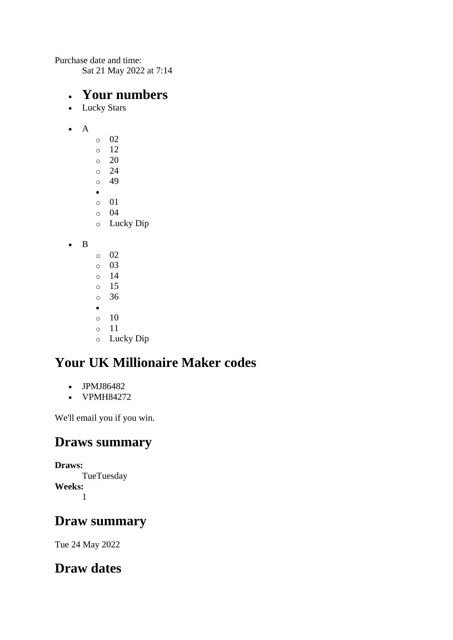Purchase date and time: Sat 21 May 2022 at 7:14

#### • **Your numbers**

- Lucky Stars
- A
- o 02 o 12  $\circ$  20 o 24  $\circ$  49 • o 01 o 04 o Lucky Dip
- B
- o 02 o 03 o 14 o 15 o 36 •  $\circ$  10 o 11 o Lucky Dip

# **Your UK Millionaire Maker codes**

- JPMJ86482
- VPMH84272

We'll email you if you win.

## **Draws summary**

**Draws: TueTuesday Weeks:** 1

## **Draw summary**

Tue 24 May 2022

## **Draw dates**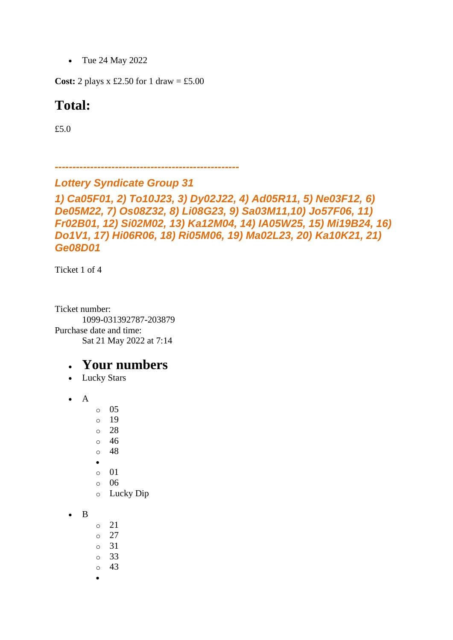• Tue 24 May 2022

**Cost:** 2 plays x £2.50 for 1 draw = £5.00

### **Total:**

£5.0

*----------------------------------------------------*

#### *Lottery Syndicate Group 31*

*1) Ca05F01, 2) To10J23, 3) Dy02J22, 4) Ad05R11, 5) Ne03F12, 6) De05M22, 7) Os08Z32, 8) Li08G23, 9) Sa03M11,10) Jo57F06, 11) Fr02B01, 12) Si02M02, 13) Ka12M04, 14) IA05W25, 15) Mi19B24, 16) Do1V1, 17) Hi06R06, 18) Ri05M06, 19) Ma02L23, 20) Ka10K21, 21) Ge08D01*

Ticket 1 of 4

Ticket number: 1099-031392787-203879 Purchase date and time: Sat 21 May 2022 at 7:14

#### • **Your numbers**

• Lucky Stars

• A

- o 05
- o 19
- o 28
- o 46
- o 48
- •
- o 01
- o 06
- o Lucky Dip
- B
- $\circ$  21
- o 27
- o 31
- o 33
- $\circ$  43
- •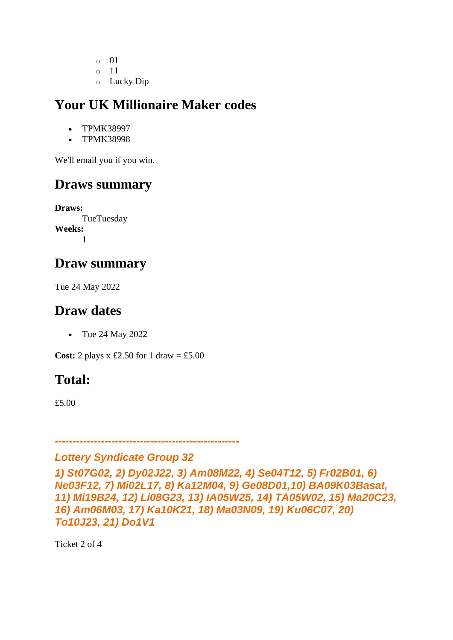- o 01
- o 11
- o Lucky Dip

- TPMK38997
- TPMK38998

We'll email you if you win.

# **Draws summary**

**Draws:** TueTuesday **Weeks:** 1

## **Draw summary**

Tue 24 May 2022

## **Draw dates**

• Tue 24 May 2022

**Cost:** 2 plays x £2.50 for 1 draw = £5.00

# **Total:**

£5.00

#### *---------------------------------------------------- Lottery Syndicate Group 32*

*1) St07G02, 2) Dy02J22, 3) Am08M22, 4) Se04T12, 5) Fr02B01, 6) Ne03F12, 7) Mi02L17, 8) Ka12M04, 9) Ge08D01,10) BA09K03Basat, 11) Mi19B24, 12) Li08G23, 13) IA05W25, 14) TA05W02, 15) Ma20C23, 16) Am06M03, 17) Ka10K21, 18) Ma03N09, 19) Ku06C07, 20) To10J23, 21) Do1V1*

Ticket 2 of 4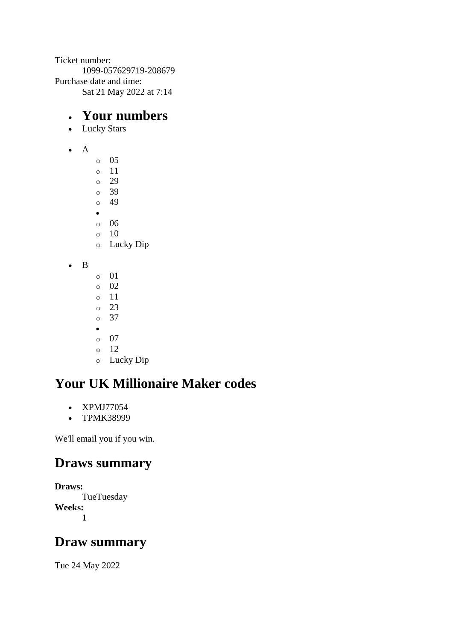Ticket number: 1099-057629719-208679 Purchase date and time: Sat 21 May 2022 at 7:14

## • **Your numbers**

- Lucky Stars
- A
- o 05
- o 11
- o 29 o 39
- o 49
- •
- o 06
- o 10
- o Lucky Dip

• B

- o 01 o 02 o 11 o 23 o 37 •  $\circ$  07 o 12
- o Lucky Dip

## **Your UK Millionaire Maker codes**

- XPMJ77054
- TPMK38999

We'll email you if you win.

## **Draws summary**

**Draws: TueTuesday Weeks:** 1

## **Draw summary**

Tue 24 May 2022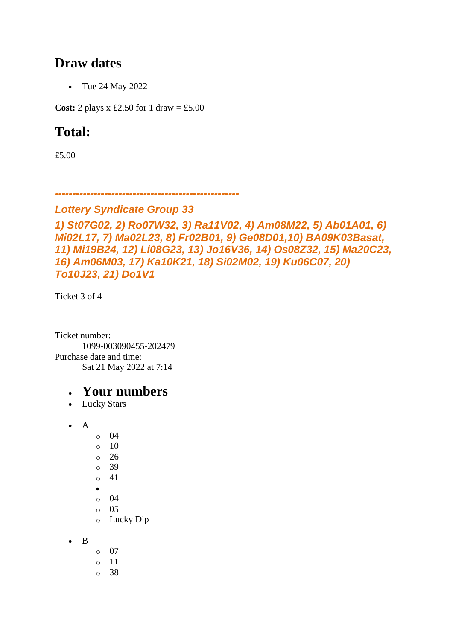### **Draw dates**

• Tue 24 May 2022

**Cost:** 2 plays x £2.50 for 1 draw = £5.00

## **Total:**

£5.00

*----------------------------------------------------*

#### *Lottery Syndicate Group 33*

```
1) St07G02, 2) Ro07W32, 3) Ra11V02, 4) Am08M22, 5) Ab01A01, 6) 
Mi02L17, 7) Ma02L23, 8) Fr02B01, 9) Ge08D01,10) BA09K03Basat, 
11) Mi19B24, 12) Li08G23, 13) Jo16V36, 14) Os08Z32, 15) Ma20C23, 
16) Am06M03, 17) Ka10K21, 18) Si02M02, 19) Ku06C07, 20) 
To10J23, 21) Do1V1
```
Ticket 3 of 4

Ticket number: 1099-003090455-202479 Purchase date and time: Sat 21 May 2022 at 7:14

#### • **Your numbers**

• Lucky Stars

• A

o 04 o 10  $\circ$  26 o 39 o 41 • o 04 o 05 o Lucky Dip

• B

- o 07
- o 11
- o 38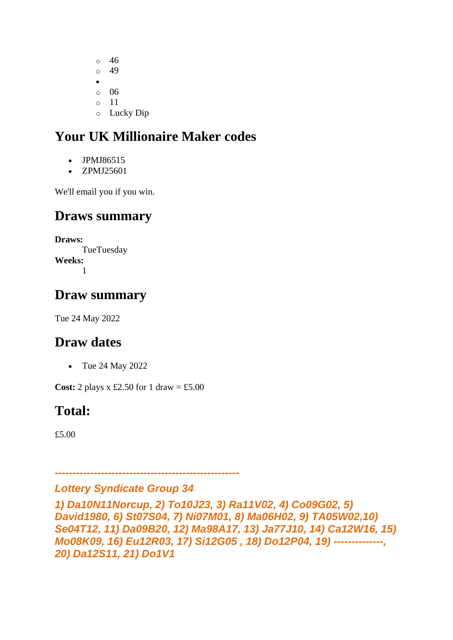o 46 o 49 •  $\circ$  06 o 11 o Lucky Dip

## **Your UK Millionaire Maker codes**

- JPMJ86515
- ZPMJ25601

We'll email you if you win.

#### **Draws summary**

**Draws:** TueTuesday **Weeks:** 1

#### **Draw summary**

Tue 24 May 2022

#### **Draw dates**

• Tue 24 May 2022

**Cost:** 2 plays x £2.50 for 1 draw = £5.00

## **Total:**

£5.00

#### *Lottery Syndicate Group 34*

*----------------------------------------------------*

*1) Da10N11Norcup, 2) To10J23, 3) Ra11V02, 4) Co09G02, 5) David1980, 6) St07S04, 7) Ni07M01, 8) Ma06H02, 9) TA05W02,10) Se04T12, 11) Da09B20, 12) Ma98A17, 13) Ja77J10, 14) Ca12W16, 15) Mo08K09, 16) Eu12R03, 17) Si12G05 , 18) Do12P04, 19) --------------, 20) Da12S11, 21) Do1V1*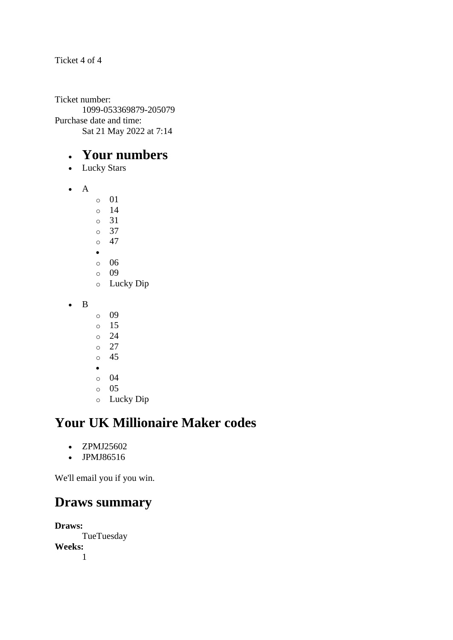#### Ticket 4 of 4

Ticket number: 1099-053369879-205079 Purchase date and time: Sat 21 May 2022 at 7:14

#### • **Your numbers**

- Lucky Stars
- A
- o 01
- o 14
- o 31
- o 37 o 47
- •
- o 06
- o 09
- o Lucky Dip
- B
- o 09
- o 15
- o 24
- o 27
- o 45
- o 04
- o 05
- o Lucky Dip

## **Your UK Millionaire Maker codes**

- ZPMJ25602
- JPMJ86516

We'll email you if you win.

## **Draws summary**

**Draws:** TueTuesday **Weeks:** 1